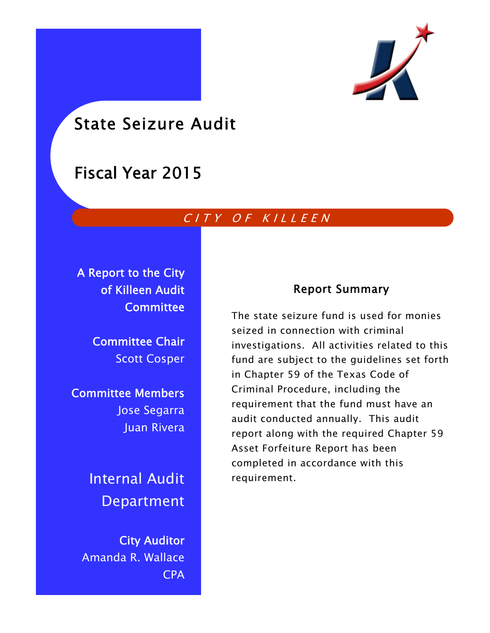

# State Seizure Audit

# Fiscal Year 2015

# CITY OF KILLEEN

A Report to the City of Killeen Audit **Committee** 

> Committee Chair Scott Cosper

Committee Members Jose Segarra Juan Rivera

> Internal Audit Department

City Auditor Amanda R. Wallace CPA

# Report Summary

The state seizure fund is used for monies seized in connection with criminal investigations. All activities related to this fund are subject to the guidelines set forth in Chapter 59 of the Texas Code of Criminal Procedure, including the requirement that the fund must have an audit conducted annually. This audit report along with the required Chapter 59 Asset Forfeiture Report has been completed in accordance with this requirement.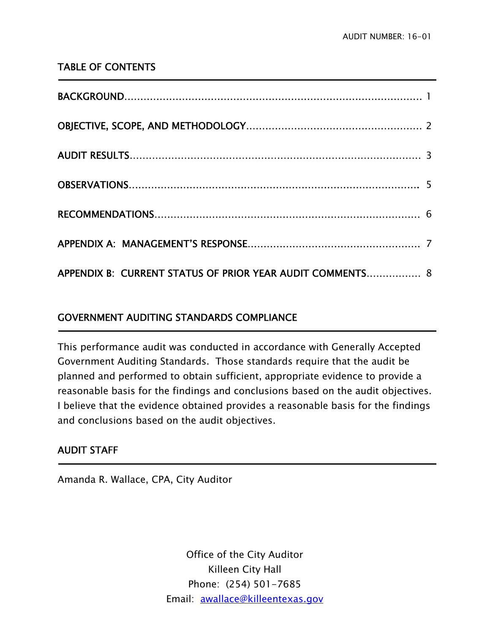# TABLE OF CONTENTS

| APPENDIX B: CURRENT STATUS OF PRIOR YEAR AUDIT COMMENTS 8 |  |
|-----------------------------------------------------------|--|

# GOVERNMENT AUDITING STANDARDS COMPLIANCE

This performance audit was conducted in accordance with Generally Accepted Government Auditing Standards. Those standards require that the audit be planned and performed to obtain sufficient, appropriate evidence to provide a reasonable basis for the findings and conclusions based on the audit objectives. I believe that the evidence obtained provides a reasonable basis for the findings and conclusions based on the audit objectives.

# AUDIT STAFF

j

j

Amanda R. Wallace, CPA, City Auditor

Office of the City Auditor Killeen City Hall Phone: (254) 501-7685 Email: awallace@killeentexas.gov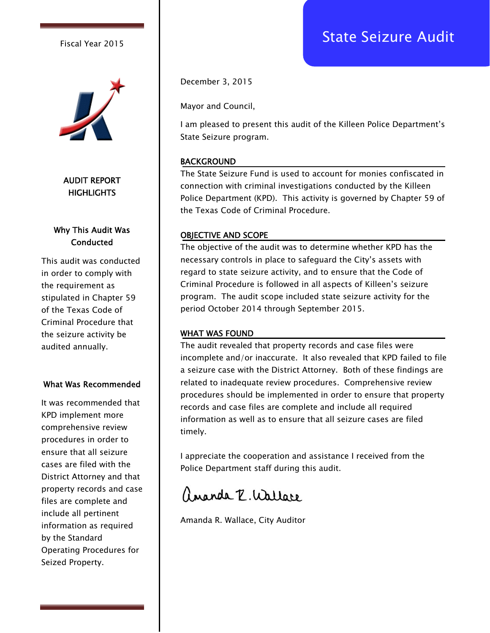

AUDIT REPORT **HIGHLIGHTS** 

# Why This Audit Was **Conducted**

This audit was conducted in order to comply with the requirement as stipulated in Chapter 59 of the Texas Code of Criminal Procedure that the seizure activity be audited annually.

#### What Was Recommended

It was recommended that KPD implement more comprehensive review procedures in order to ensure that all seizure cases are filed with the District Attorney and that property records and case files are complete and include all pertinent information as required by the Standard Operating Procedures for Seized Property.

December 3, 2015

Mayor and Council,

I am pleased to present this audit of the Killeen Police Department's State Seizure program.

## BACKGROUND

The State Seizure Fund is used to account for monies confiscated in connection with criminal investigations conducted by the Killeen Police Department (KPD). This activity is governed by Chapter 59 of the Texas Code of Criminal Procedure.

#### OBJECTIVE AND SCOPE

The objective of the audit was to determine whether KPD has the necessary controls in place to safeguard the City's assets with regard to state seizure activity, and to ensure that the Code of Criminal Procedure is followed in all aspects of Killeen's seizure program. The audit scope included state seizure activity for the period October 2014 through September 2015.

#### WHAT WAS FOUND

The audit revealed that property records and case files were incomplete and/or inaccurate. It also revealed that KPD failed to file a seizure case with the District Attorney. Both of these findings are related to inadequate review procedures. Comprehensive review procedures should be implemented in order to ensure that property records and case files are complete and include all required information as well as to ensure that all seizure cases are filed timely.

I appreciate the cooperation and assistance I received from the Police Department staff during this audit.

angola P. Wallare

Amanda R. Wallace, City Auditor

# Fiscal Year 2015 **Fiscal Year 2015**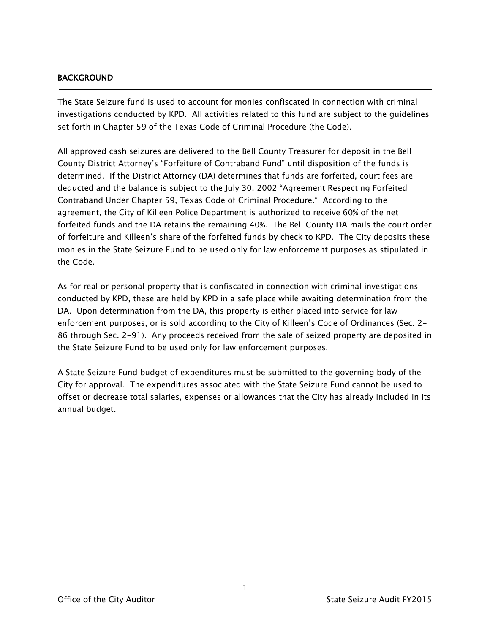# BACKGROUND

j

The State Seizure fund is used to account for monies confiscated in connection with criminal investigations conducted by KPD. All activities related to this fund are subject to the guidelines set forth in Chapter 59 of the Texas Code of Criminal Procedure (the Code).

All approved cash seizures are delivered to the Bell County Treasurer for deposit in the Bell County District Attorney's "Forfeiture of Contraband Fund" until disposition of the funds is determined. If the District Attorney (DA) determines that funds are forfeited, court fees are deducted and the balance is subject to the July 30, 2002 "Agreement Respecting Forfeited Contraband Under Chapter 59, Texas Code of Criminal Procedure." According to the agreement, the City of Killeen Police Department is authorized to receive 60% of the net forfeited funds and the DA retains the remaining 40%. The Bell County DA mails the court order of forfeiture and Killeen's share of the forfeited funds by check to KPD. The City deposits these monies in the State Seizure Fund to be used only for law enforcement purposes as stipulated in the Code.

As for real or personal property that is confiscated in connection with criminal investigations conducted by KPD, these are held by KPD in a safe place while awaiting determination from the DA. Upon determination from the DA, this property is either placed into service for law enforcement purposes, or is sold according to the City of Killeen's Code of Ordinances (Sec. 2- 86 through Sec. 2-91). Any proceeds received from the sale of seized property are deposited in the State Seizure Fund to be used only for law enforcement purposes.

A State Seizure Fund budget of expenditures must be submitted to the governing body of the City for approval. The expenditures associated with the State Seizure Fund cannot be used to offset or decrease total salaries, expenses or allowances that the City has already included in its annual budget.

1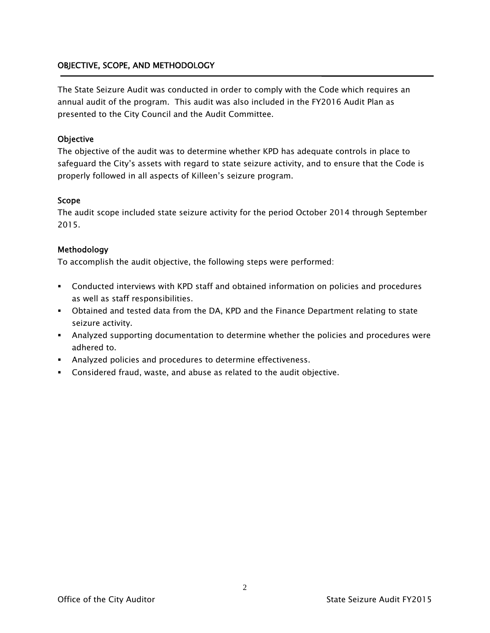# OBJECTIVE, SCOPE, AND METHODOLOGY

The State Seizure Audit was conducted in order to comply with the Code which requires an annual audit of the program. This audit was also included in the FY2016 Audit Plan as presented to the City Council and the Audit Committee.

## **Objective**

The objective of the audit was to determine whether KPD has adequate controls in place to safeguard the City's assets with regard to state seizure activity, and to ensure that the Code is properly followed in all aspects of Killeen's seizure program.

#### Scope

The audit scope included state seizure activity for the period October 2014 through September 2015.

## Methodology

To accomplish the audit objective, the following steps were performed:

- Conducted interviews with KPD staff and obtained information on policies and procedures as well as staff responsibilities.
- Obtained and tested data from the DA, KPD and the Finance Department relating to state seizure activity.
- Analyzed supporting documentation to determine whether the policies and procedures were adhered to.
- Analyzed policies and procedures to determine effectiveness.
- Considered fraud, waste, and abuse as related to the audit objective.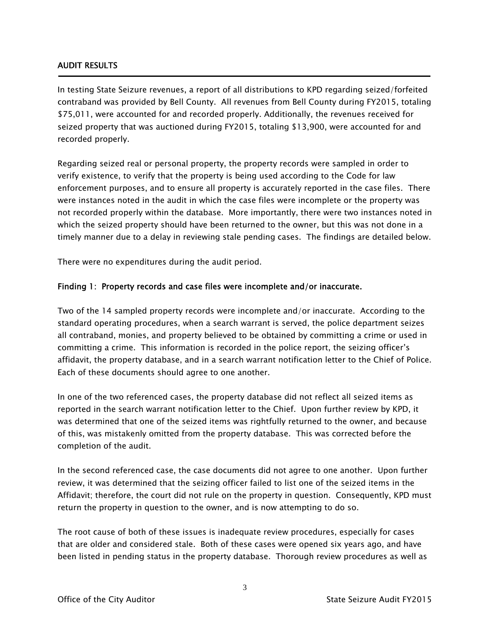## AUDIT RESULTS

Ī

In testing State Seizure revenues, a report of all distributions to KPD regarding seized/forfeited contraband was provided by Bell County. All revenues from Bell County during FY2015, totaling \$75,011, were accounted for and recorded properly. Additionally, the revenues received for seized property that was auctioned during FY2015, totaling \$13,900, were accounted for and recorded properly.

Regarding seized real or personal property, the property records were sampled in order to verify existence, to verify that the property is being used according to the Code for law enforcement purposes, and to ensure all property is accurately reported in the case files. There were instances noted in the audit in which the case files were incomplete or the property was not recorded properly within the database. More importantly, there were two instances noted in which the seized property should have been returned to the owner, but this was not done in a timely manner due to a delay in reviewing stale pending cases. The findings are detailed below.

There were no expenditures during the audit period.

## Finding 1: Property records and case files were incomplete and/or inaccurate.

Two of the 14 sampled property records were incomplete and/or inaccurate. According to the standard operating procedures, when a search warrant is served, the police department seizes all contraband, monies, and property believed to be obtained by committing a crime or used in committing a crime. This information is recorded in the police report, the seizing officer's affidavit, the property database, and in a search warrant notification letter to the Chief of Police. Each of these documents should agree to one another.

In one of the two referenced cases, the property database did not reflect all seized items as reported in the search warrant notification letter to the Chief. Upon further review by KPD, it was determined that one of the seized items was rightfully returned to the owner, and because of this, was mistakenly omitted from the property database. This was corrected before the completion of the audit.

In the second referenced case, the case documents did not agree to one another. Upon further review, it was determined that the seizing officer failed to list one of the seized items in the Affidavit; therefore, the court did not rule on the property in question. Consequently, KPD must return the property in question to the owner, and is now attempting to do so.

The root cause of both of these issues is inadequate review procedures, especially for cases that are older and considered stale. Both of these cases were opened six years ago, and have been listed in pending status in the property database. Thorough review procedures as well as

3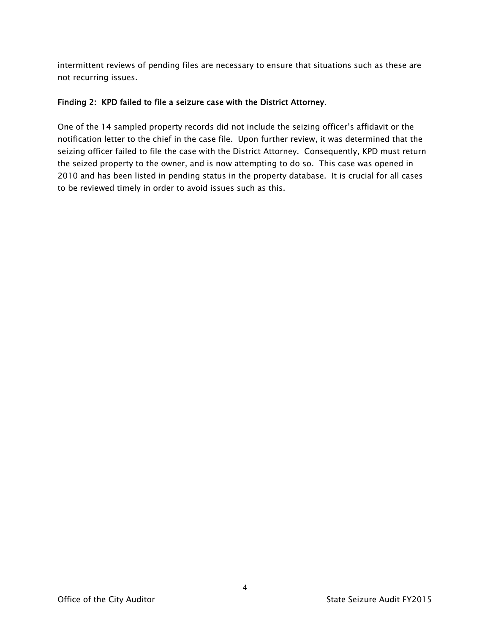intermittent reviews of pending files are necessary to ensure that situations such as these are not recurring issues.

## Finding 2: KPD failed to file a seizure case with the District Attorney.

One of the 14 sampled property records did not include the seizing officer's affidavit or the notification letter to the chief in the case file. Upon further review, it was determined that the seizing officer failed to file the case with the District Attorney. Consequently, KPD must return the seized property to the owner, and is now attempting to do so. This case was opened in 2010 and has been listed in pending status in the property database. It is crucial for all cases to be reviewed timely in order to avoid issues such as this.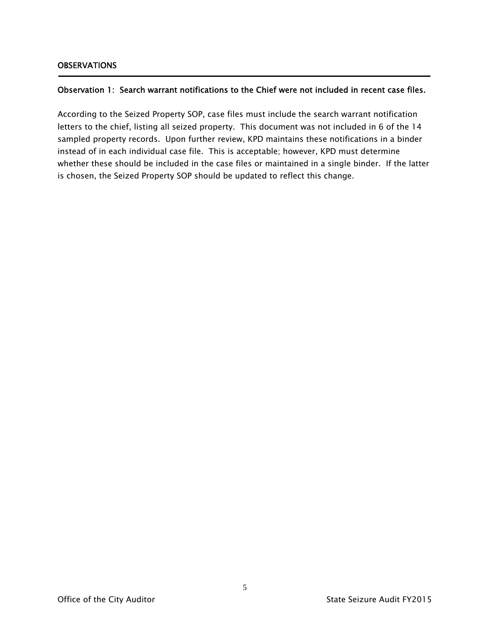Ī

# Observation 1: Search warrant notifications to the Chief were not included in recent case files.

According to the Seized Property SOP, case files must include the search warrant notification letters to the chief, listing all seized property. This document was not included in 6 of the 14 sampled property records. Upon further review, KPD maintains these notifications in a binder instead of in each individual case file. This is acceptable; however, KPD must determine whether these should be included in the case files or maintained in a single binder. If the latter is chosen, the Seized Property SOP should be updated to reflect this change.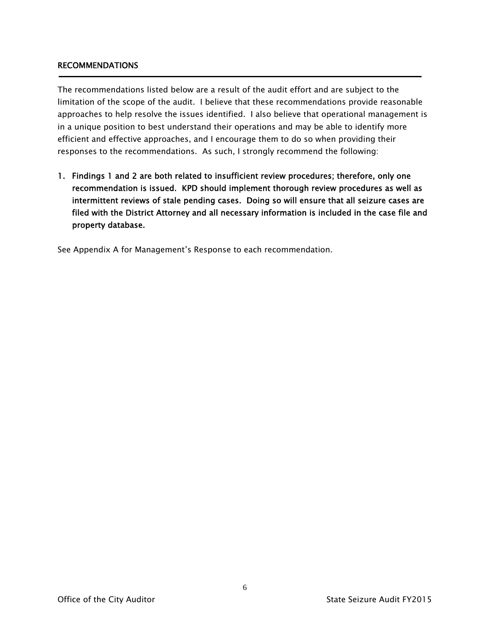## RECOMMENDATIONS

The recommendations listed below are a result of the audit effort and are subject to the limitation of the scope of the audit. I believe that these recommendations provide reasonable approaches to help resolve the issues identified. I also believe that operational management is in a unique position to best understand their operations and may be able to identify more efficient and effective approaches, and I encourage them to do so when providing their responses to the recommendations. As such, I strongly recommend the following:

1. Findings 1 and 2 are both related to insufficient review procedures; therefore, only one recommendation is issued. KPD should implement thorough review procedures as well as intermittent reviews of stale pending cases. Doing so will ensure that all seizure cases are filed with the District Attorney and all necessary information is included in the case file and property database.

See Appendix A for Management's Response to each recommendation.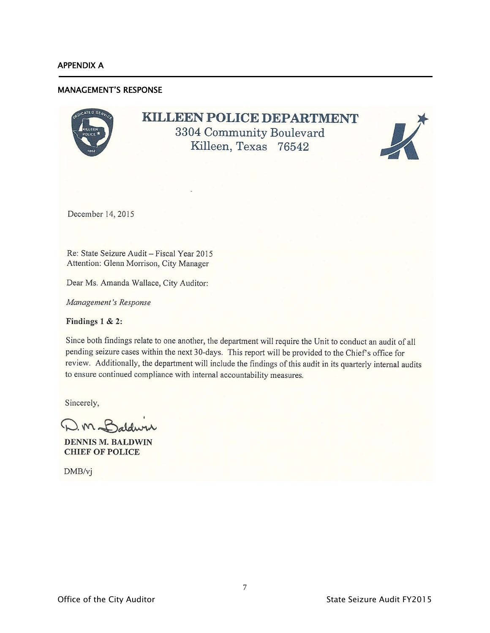j

## MANAGEMENT'S RESPONSE

# **KILLEEN POLICE DEPARTMENT**

3304 Community Boulevard Killeen, Texas 76542



December 14, 2015

Re: State Seizure Audit - Fiscal Year 2015 Attention: Glenn Morrison, City Manager

Dear Ms. Amanda Wallace, City Auditor:

Management's Response

Findings  $1 & 2$ :

Since both findings relate to one another, the department will require the Unit to conduct an audit of all pending seizure cases within the next 30-days. This report will be provided to the Chief's office for review. Additionally, the department will include the findings of this audit in its quarterly internal audits to ensure continued compliance with internal accountability measures.

Sincerely,

 $2m<sup>2</sup>$ 

**DENNIS M. BALDWIN CHIEF OF POLICE** 

DMB/vj